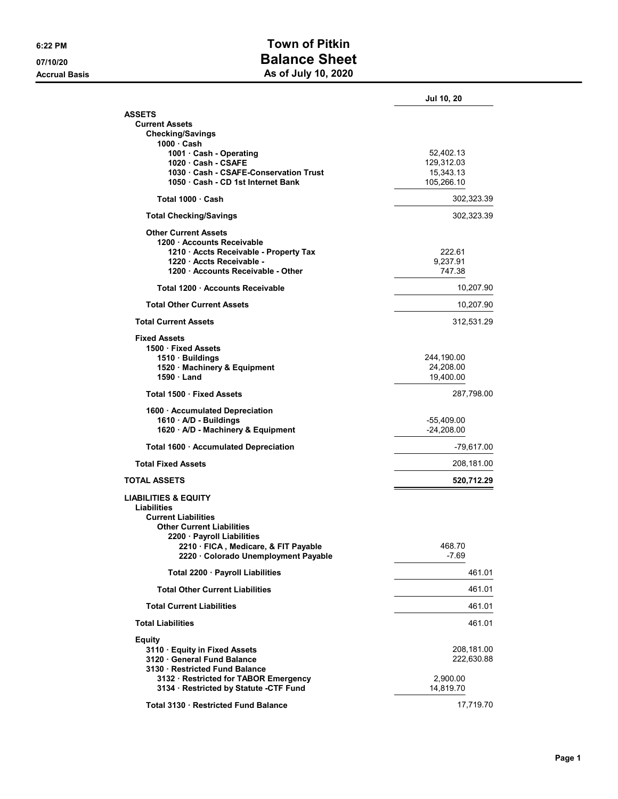## 6:22 PM CONFERENCE CONTROL CONTROL CONTROL CONTROL CONTROL CONTROL CONTROL CONTROL CONTROL CONTROL CONTROL CONTROL CONTROL CONTROL CONTROL CONTROL CONTROL CONTROL CONTROL CONTROL CONTROL CONTROL CONTROL CONTROL CONTROL CON 07/10/20 **Balance Sheet** Accrual Basis **Accrual Basis** As of July 10, 2020

|                                                                     | Jul 10, 20               |
|---------------------------------------------------------------------|--------------------------|
| ASSETS                                                              |                          |
| <b>Current Assets</b>                                               |                          |
| <b>Checking/Savings</b><br>1000 · Cash                              |                          |
| 1001 · Cash - Operating                                             | 52,402.13                |
| 1020 · Cash - CSAFE<br>1030 Cash - CSAFE-Conservation Trust         | 129,312.03<br>15,343.13  |
| 1050 · Cash - CD 1st Internet Bank                                  | 105,266.10               |
| Total 1000 · Cash                                                   | 302,323.39               |
| <b>Total Checking/Savings</b>                                       | 302,323.39               |
| <b>Other Current Assets</b>                                         |                          |
| 1200 · Accounts Receivable                                          |                          |
| 1210 · Accts Receivable - Property Tax<br>1220 · Accts Receivable - | 222.61<br>9,237.91       |
| 1200 Accounts Receivable - Other                                    | 747.38                   |
| Total 1200 · Accounts Receivable                                    | 10,207.90                |
| <b>Total Other Current Assets</b>                                   | 10,207.90                |
| <b>Total Current Assets</b>                                         | 312,531.29               |
| <b>Fixed Assets</b>                                                 |                          |
| 1500 · Fixed Assets                                                 |                          |
| 1510 · Buildings                                                    | 244,190.00               |
| 1520 · Machinery & Equipment<br>$1590 \cdot$ Land                   | 24,208.00<br>19,400.00   |
| Total 1500 · Fixed Assets                                           | 287,798.00               |
| 1600 · Accumulated Depreciation                                     |                          |
| $1610 \cdot A/D -$ Buildings                                        | -55,409.00               |
| 1620 · A/D - Machinery & Equipment                                  | $-24,208.00$             |
| Total 1600 · Accumulated Depreciation                               | -79,617.00               |
| <b>Total Fixed Assets</b>                                           | 208,181.00               |
| <b>TOTAL ASSETS</b>                                                 | 520,712.29               |
| <b>LIABILITIES &amp; EQUITY</b>                                     |                          |
| <b>Liabilities</b><br><b>Current Liabilities</b>                    |                          |
| <b>Other Current Liabilities</b>                                    |                          |
| 2200 · Payroll Liabilities                                          |                          |
| 2210 · FICA, Medicare, & FIT Payable                                | 468 70                   |
| 2220 · Colorado Unemployment Payable                                | -7.69                    |
| Total 2200 · Payroll Liabilities                                    | 461.01                   |
| <b>Total Other Current Liabilities</b>                              | 461.01                   |
| <b>Total Current Liabilities</b>                                    | 461.01                   |
| <b>Total Liabilities</b>                                            | 461.01                   |
| <b>Equity</b>                                                       |                          |
| 3110 · Equity in Fixed Assets<br>3120 General Fund Balance          | 208,181.00<br>222.630.88 |
| 3130 Restricted Fund Balance                                        |                          |
| 3132 · Restricted for TABOR Emergency                               | 2,900.00                 |
| 3134 · Restricted by Statute -CTF Fund                              | 14,819.70                |
| Total 3130 · Restricted Fund Balance                                | 17,719.70                |